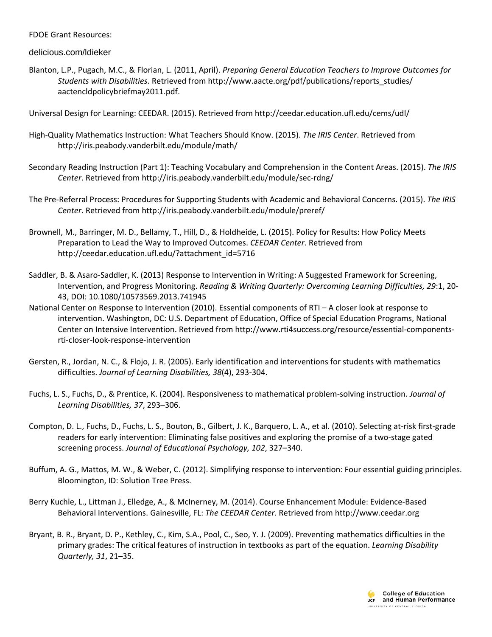FDOE Grant Resources:

delicious.com/ldieker

Blanton, L.P., Pugach, M.C., & Florian, L. (2011, April). *Preparing General Education Teachers to Improve Outcomes for Students with Disabilities*. Retrieved from http://www.aacte.org/pdf/publications/reports\_studies/ aactencldpolicybriefmay2011.pdf.

Universal Design for Learning: CEEDAR. (2015). Retrieved from http://ceedar.education.ufl.edu/cems/udl/

- High-Quality Mathematics Instruction: What Teachers Should Know. (2015). *The IRIS Center*. Retrieved from http://iris.peabody.vanderbilt.edu/module/math/
- Secondary Reading Instruction (Part 1): Teaching Vocabulary and Comprehension in the Content Areas. (2015). *The IRIS Center*. Retrieved from http://iris.peabody.vanderbilt.edu/module/sec-rdng/
- The Pre-Referral Process: Procedures for Supporting Students with Academic and Behavioral Concerns. (2015). *The IRIS Center*. Retrieved from http://iris.peabody.vanderbilt.edu/module/preref/
- Brownell, M., Barringer, M. D., Bellamy, T., Hill, D., & Holdheide, L. (2015). Policy for Results: How Policy Meets Preparation to Lead the Way to Improved Outcomes. *CEEDAR Center*. Retrieved from http://ceedar.education.ufl.edu/?attachment\_id=5716
- Saddler, B. & Asaro-Saddler, K. (2013) Response to Intervention in Writing: A Suggested Framework for Screening, Intervention, and Progress Monitoring. *Reading & Writing Quarterly: Overcoming Learning Difficulties, 29*:1, 20- 43, DOI: 10.1080/10573569.2013.741945
- National Center on Response to Intervention (2010). Essential components of RTI A closer look at response to intervention. Washington, DC: U.S. Department of Education, Office of Special Education Programs, National Center on Intensive Intervention. Retrieved from http://www.rti4success.org/resource/essential-componentsrti-closer-look-response-intervention
- Gersten, R., Jordan, N. C., & Flojo, J. R. (2005). Early identification and interventions for students with mathematics difficulties. *Journal of Learning Disabilities, 38*(4), 293-304.
- Fuchs, L. S., Fuchs, D., & Prentice, K. (2004). Responsiveness to mathematical problem-solving instruction. *Journal of Learning Disabilities, 37*, 293–306.
- Compton, D. L., Fuchs, D., Fuchs, L. S., Bouton, B., Gilbert, J. K., Barquero, L. A., et al. (2010). Selecting at-risk first-grade readers for early intervention: Eliminating false positives and exploring the promise of a two-stage gated screening process. *Journal of Educational Psychology, 102*, 327–340.
- Buffum, A. G., Mattos, M. W., & Weber, C. (2012). Simplifying response to intervention: Four essential guiding principles. Bloomington, ID: Solution Tree Press.
- Berry Kuchle, L., Littman J., Elledge, A., & McInerney, M. (2014). Course Enhancement Module: Evidence-Based Behavioral Interventions. Gainesville, FL: *The CEEDAR Center*. Retrieved from http://www.ceedar.org
- Bryant, B. R., Bryant, D. P., Kethley, C., Kim, S.A., Pool, C., Seo, Y. J. (2009). Preventing mathematics difficulties in the primary grades: The critical features of instruction in textbooks as part of the equation. *Learning Disability Quarterly, 31*, 21–35.

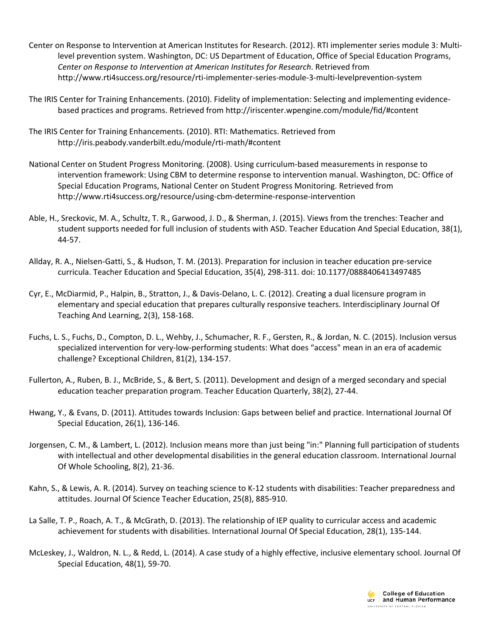- Center on Response to Intervention at American Institutes for Research. (2012). RTI implementer series module 3: Multilevel prevention system. Washington, DC: US Department of Education, Office of Special Education Programs, *Center on Response to Intervention at American Institutes for Research*. Retrieved from http://www.rti4success.org/resource/rti-implementer-series-module-3-multi-levelprevention-system
- The IRIS Center for Training Enhancements. (2010). Fidelity of implementation: Selecting and implementing evidencebased practices and programs. Retrieved from http://iriscenter.wpengine.com/module/fid/#content
- The IRIS Center for Training Enhancements. (2010). RTI: Mathematics. Retrieved from http://iris.peabody.vanderbilt.edu/module/rti-math/#content
- National Center on Student Progress Monitoring. (2008). Using curriculum-based measurements in response to intervention framework: Using CBM to determine response to intervention manual. Washington, DC: Office of Special Education Programs, National Center on Student Progress Monitoring. Retrieved from http://www.rti4success.org/resource/using-cbm-determine-response-intervention
- Able, H., Sreckovic, M. A., Schultz, T. R., Garwood, J. D., & Sherman, J. (2015). Views from the trenches: Teacher and student supports needed for full inclusion of students with ASD. Teacher Education And Special Education, 38(1), 44-57.
- Allday, R. A., Nielsen-Gatti, S., & Hudson, T. M. (2013). Preparation for inclusion in teacher education pre-service curricula. Teacher Education and Special Education, 35(4), 298-311. doi: 10.1177/0888406413497485
- Cyr, E., McDiarmid, P., Halpin, B., Stratton, J., & Davis-Delano, L. C. (2012). Creating a dual licensure program in elementary and special education that prepares culturally responsive teachers. Interdisciplinary Journal Of Teaching And Learning, 2(3), 158-168.
- Fuchs, L. S., Fuchs, D., Compton, D. L., Wehby, J., Schumacher, R. F., Gersten, R., & Jordan, N. C. (2015). Inclusion versus specialized intervention for very-low-performing students: What does "access" mean in an era of academic challenge? Exceptional Children, 81(2), 134-157.
- Fullerton, A., Ruben, B. J., McBride, S., & Bert, S. (2011). Development and design of a merged secondary and special education teacher preparation program. Teacher Education Quarterly, 38(2), 27-44.
- Hwang, Y., & Evans, D. (2011). Attitudes towards Inclusion: Gaps between belief and practice. International Journal Of Special Education, 26(1), 136-146.
- Jorgensen, C. M., & Lambert, L. (2012). Inclusion means more than just being "in:" Planning full participation of students with intellectual and other developmental disabilities in the general education classroom. International Journal Of Whole Schooling, 8(2), 21-36.
- Kahn, S., & Lewis, A. R. (2014). Survey on teaching science to K-12 students with disabilities: Teacher preparedness and attitudes. Journal Of Science Teacher Education, 25(8), 885-910.
- La Salle, T. P., Roach, A. T., & McGrath, D. (2013). The relationship of IEP quality to curricular access and academic achievement for students with disabilities. International Journal Of Special Education, 28(1), 135-144.
- McLeskey, J., Waldron, N. L., & Redd, L. (2014). A case study of a highly effective, inclusive elementary school. Journal Of Special Education, 48(1), 59-70.

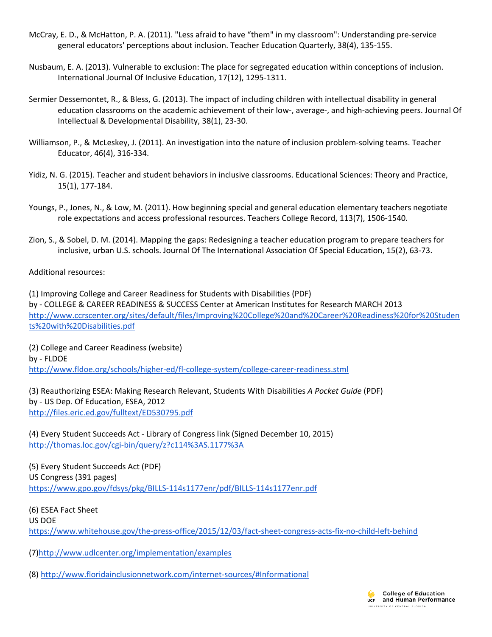- McCray, E. D., & McHatton, P. A. (2011). "Less afraid to have "them" in my classroom": Understanding pre-service general educators' perceptions about inclusion. Teacher Education Quarterly, 38(4), 135-155.
- Nusbaum, E. A. (2013). Vulnerable to exclusion: The place for segregated education within conceptions of inclusion. International Journal Of Inclusive Education, 17(12), 1295-1311.
- Sermier Dessemontet, R., & Bless, G. (2013). The impact of including children with intellectual disability in general education classrooms on the academic achievement of their low-, average-, and high-achieving peers. Journal Of Intellectual & Developmental Disability, 38(1), 23-30.
- Williamson, P., & McLeskey, J. (2011). An investigation into the nature of inclusion problem-solving teams. Teacher Educator, 46(4), 316-334.
- Yidiz, N. G. (2015). Teacher and student behaviors in inclusive classrooms. Educational Sciences: Theory and Practice, 15(1), 177-184.
- Youngs, P., Jones, N., & Low, M. (2011). How beginning special and general education elementary teachers negotiate role expectations and access professional resources. Teachers College Record, 113(7), 1506-1540.
- Zion, S., & Sobel, D. M. (2014). Mapping the gaps: Redesigning a teacher education program to prepare teachers for inclusive, urban U.S. schools. Journal Of The International Association Of Special Education, 15(2), 63-73.

Additional resources:

(1) Improving College and Career Readiness for Students with Disabilities (PDF) by - COLLEGE & CAREER READINESS & SUCCESS Center at American Institutes for Research MARCH 2013 [http://www.ccrscenter.org/sites/default/files/Improving%20College%20and%20Career%20Readiness%20for%20Studen](http://www.ccrscenter.org/sites/default/files/Improving%20College%20and%20Career%20Readiness%20for%20Students%20with%20Disabilities.pdf) [ts%20with%20Disabilities.pdf](http://www.ccrscenter.org/sites/default/files/Improving%20College%20and%20Career%20Readiness%20for%20Students%20with%20Disabilities.pdf)

(2) College and Career Readiness (website) by - FLDOE <http://www.fldoe.org/schools/higher-ed/fl-college-system/college-career-readiness.stml>

(3) Reauthorizing ESEA: Making Research Relevant, Students With Disabilities *A Pocket Guide* (PDF) by - US Dep. Of Education, ESEA, 2012 <http://files.eric.ed.gov/fulltext/ED530795.pdf>

(4) Every Student Succeeds Act - Library of Congress link (Signed December 10, 2015) [http://thomas.loc.gov/cgi-bin/query/z?c114%3AS.1177%3A](http://thomas.loc.gov/cgi-bin/query/z?c114:S.1177:)

(5) Every Student Succeeds Act (PDF) US Congress (391 pages) <https://www.gpo.gov/fdsys/pkg/BILLS-114s1177enr/pdf/BILLS-114s1177enr.pdf>

(6) ESEA Fact Sheet US DOE <https://www.whitehouse.gov/the-press-office/2015/12/03/fact-sheet-congress-acts-fix-no-child-left-behind>

(7[\)http://www.udlcenter.org/implementation/examples](http://www.udlcenter.org/implementation/examples)

(8[\) http://www.floridainclusionnetwork.com/internet-sources/#Informational](http://www.floridainclusionnetwork.com/internet-sources/#Informational)